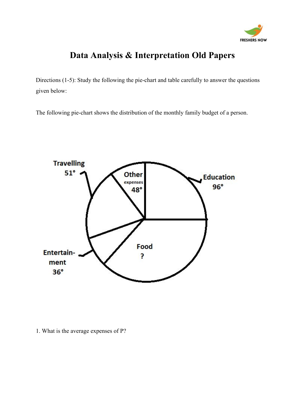

## **Data Analysis & Interpretation Old Papers**

Directions (1-5): Study the following the pie-chart and table carefully to answer the questions given below:

The following pie-chart shows the distribution of the monthly family budget of a person.



1. What is the average expenses of P?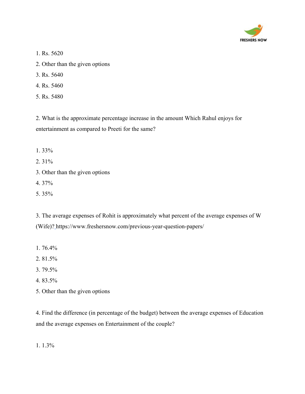

- 1. Rs. 5620
- 2. Other than the given options
- 3. Rs. 5640
- 4. Rs. 5460
- 5. Rs. 5480

2. What is the approximate percentage increase in the amount Which Rahul enjoys for entertainment as compared to Preeti for the same?

- 1. 33%
- 2. 31%
- 3. Other than the given options
- 4. 37%
- 5. 35%

3. The average expenses of Rohit is approximately what percent of the average expenses of W (Wife)? <https://www.freshersnow.com/previous-year-question-papers/>

- 1. 76.4%
- 2. 81.5%
- 3. 79.5%
- 4. 83.5%
- 5. Other than the given options

4. Find the difference (in percentage of the budget) between the average expenses of Education and the average expenses on Entertainment of the couple?

1. 1.3%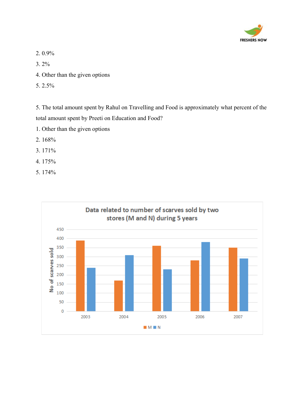

2. 0.9%

3. 2%

- 4. Other than the given options
- 5. 2.5%

5. The total amount spent by Rahul on Travelling and Food is approximately what percent of the total amount spent by Preeti on Education and Food?

- 1. Other than the given options
- 2. 168%
- 3. 171%
- 4. 175%
- 5. 174%

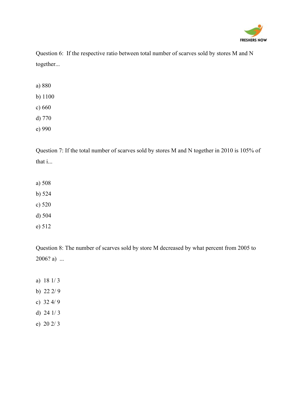

Question 6: If the respective ratio between total number of scarves sold by stores M and N together...

- a) 880
- b) 1100
- c) 660
- d) 770
- e) 990

Question 7: If the total number of scarves sold by stores M and N together in 2010 is 105% of that i...

- a) 508
- b) 524
- c) 520
- d) 504
- e) 512

Question 8: The number of scarves sold by store M decreased by what percent from 2005 to  $2006? a)$  ...

- a) 18 1/ 3
- b) 22 2/ 9
- c) 32 4/ 9
- d) 24 1/ 3
- e) 20 2/ 3